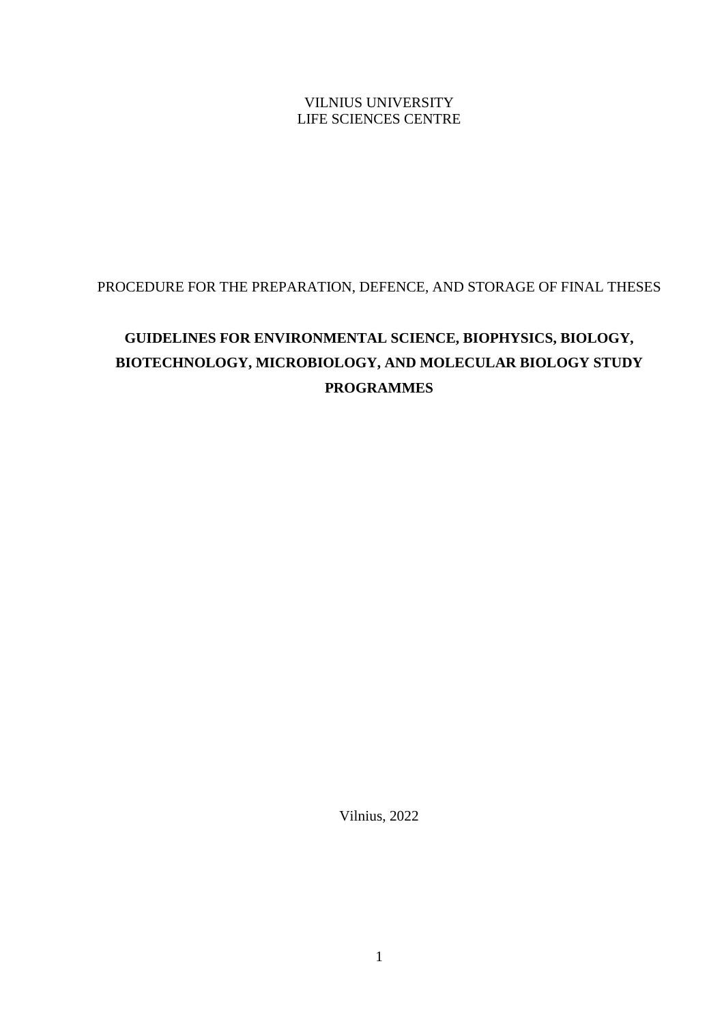VILNIUS UNIVERSITY LIFE SCIENCES CENTRE

# PROCEDURE FOR THE PREPARATION, DEFENCE, AND STORAGE OF FINAL THESES

# **GUIDELINES FOR ENVIRONMENTAL SCIENCE, BIOPHYSICS, BIOLOGY, BIOTECHNOLOGY, MICROBIOLOGY, AND MOLECULAR BIOLOGY STUDY PROGRAMMES**

Vilnius, 2022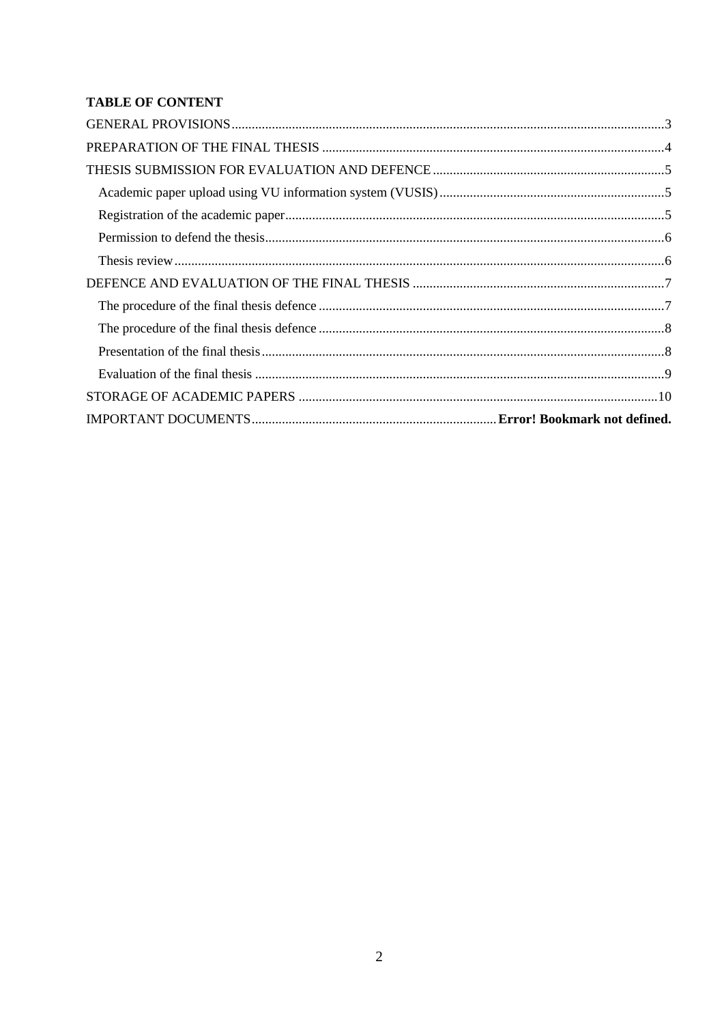# **TABLE OF CONTENT**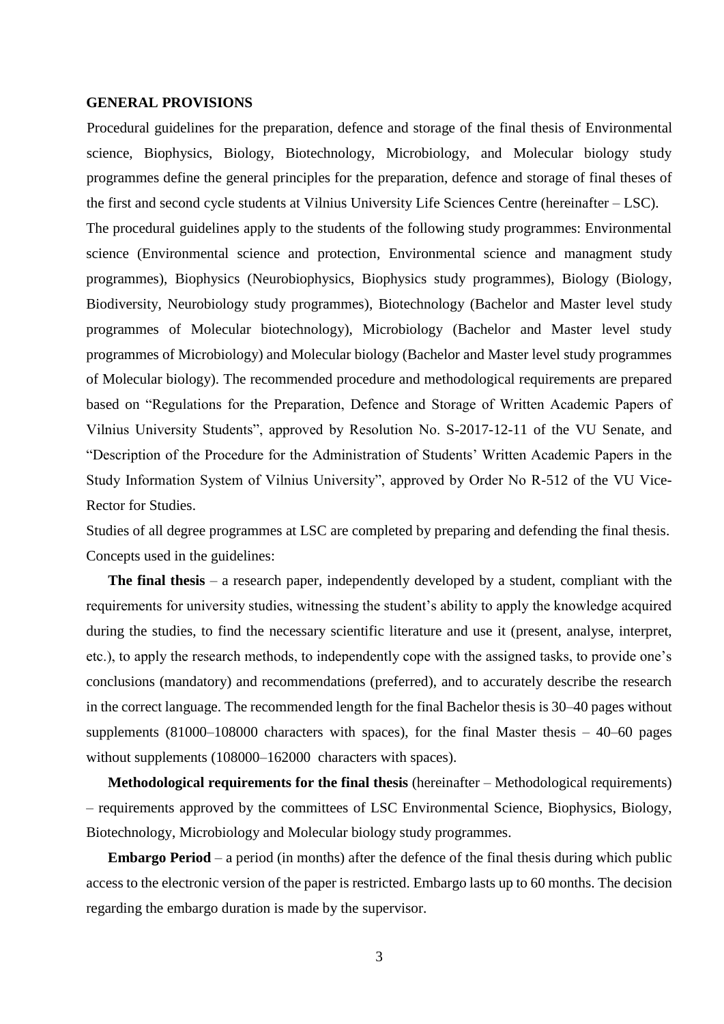#### <span id="page-2-0"></span>**GENERAL PROVISIONS**

Procedural guidelines for the preparation, defence and storage of the final thesis of Environmental science, Biophysics, Biology, Biotechnology, Microbiology, and Molecular biology study programmes define the general principles for the preparation, defence and storage of final theses of the first and second cycle students at Vilnius University Life Sciences Centre (hereinafter – LSC). The procedural guidelines apply to the students of the following study programmes: Environmental science (Environmental science and protection, Environmental science and managment study programmes), Biophysics (Neurobiophysics, Biophysics study programmes), Biology (Biology, Biodiversity, Neurobiology study programmes), Biotechnology (Bachelor and Master level study programmes of Molecular biotechnology), Microbiology (Bachelor and Master level study programmes of Microbiology) and Molecular biology (Bachelor and Master level study programmes of Molecular biology). The recommended procedure and methodological requirements are prepared based on "Regulations for the Preparation, Defence and Storage of Written Academic Papers of Vilnius University Students", approved by Resolution No. S-2017-12-11 of the VU Senate, and "Description of the Procedure for the Administration of Students' Written Academic Papers in the

Study Information System of Vilnius University", approved by Order No R-512 of the VU Vice-Rector for Studies.

Studies of all degree programmes at LSC are completed by preparing and defending the final thesis. Concepts used in the guidelines:

**The final thesis** – a research paper, independently developed by a student, compliant with the requirements for university studies, witnessing the student's ability to apply the knowledge acquired during the studies, to find the necessary scientific literature and use it (present, analyse, interpret, etc.), to apply the research methods, to independently cope with the assigned tasks, to provide one's conclusions (mandatory) and recommendations (preferred), and to accurately describe the research in the correct language. The recommended length for the final Bachelor thesis is 30–40 pages without supplements  $(81000-108000$  characters with spaces), for the final Master thesis  $-40-60$  pages without supplements (108000–162000 characters with spaces).

**Methodological requirements for the final thesis** (hereinafter – Methodological requirements) – requirements approved by the committees of LSC Environmental Science, Biophysics, Biology, Biotechnology, Microbiology and Molecular biology study programmes.

**Embargo Period** – a period (in months) after the defence of the final thesis during which public access to the electronic version of the paper is restricted. Embargo lasts up to 60 months. The decision regarding the embargo duration is made by the supervisor.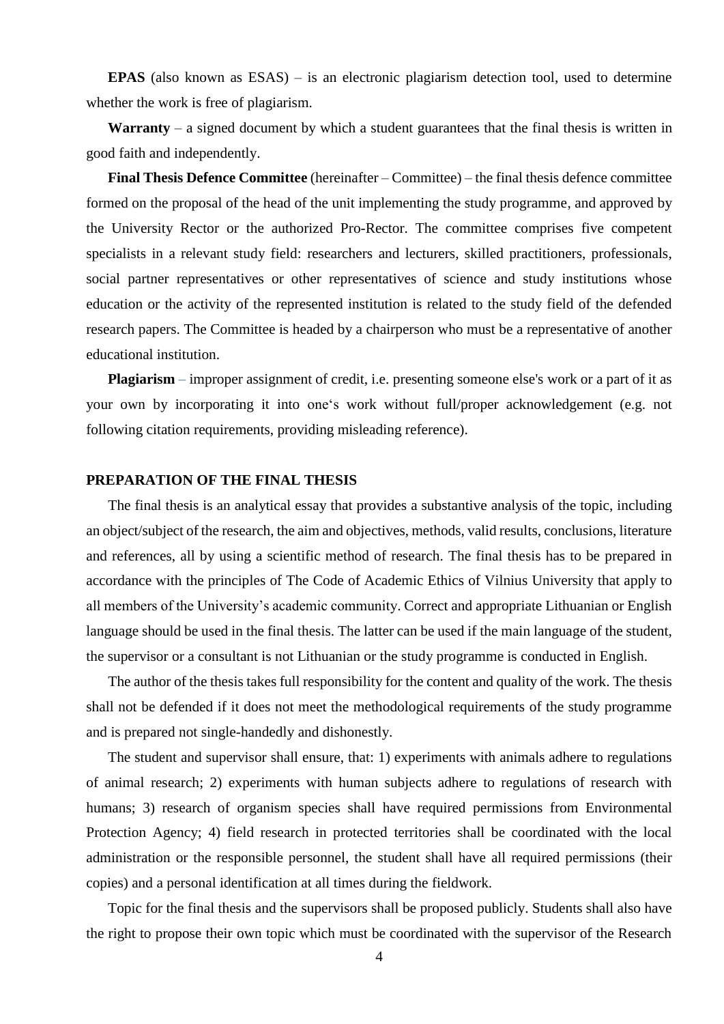**EPAS** (also known as ESAS) – is an electronic plagiarism detection tool, used to determine whether the work is free of plagiarism.

**Warranty** – a signed document by which a student guarantees that the final thesis is written in good faith and independently.

**Final Thesis Defence Committee** (hereinafter – Committee) – the final thesis defence committee formed on the proposal of the head of the unit implementing the study programme, and approved by the University Rector or the authorized Pro-Rector. The committee comprises five competent specialists in a relevant study field: researchers and lecturers, skilled practitioners, professionals, social partner representatives or other representatives of science and study institutions whose education or the activity of the represented institution is related to the study field of the defended research papers. The Committee is headed by a chairperson who must be a representative of another educational institution.

**Plagiarism** – improper assignment of credit, i.e. presenting someone else's work or a part of it as your own by incorporating it into one's work without full/proper acknowledgement (e.g. not following citation requirements, providing misleading reference).

#### <span id="page-3-0"></span>**PREPARATION OF THE FINAL THESIS**

The final thesis is an analytical essay that provides a substantive analysis of the topic, including an object/subject of the research, the aim and objectives, methods, valid results, conclusions, literature and references, all by using a scientific method of research. The final thesis has to be prepared in accordance with the principles of The Code of Academic Ethics of Vilnius University that apply to all members of the University's academic community. Correct and appropriate Lithuanian or English language should be used in the final thesis. The latter can be used if the main language of the student, the supervisor or a consultant is not Lithuanian or the study programme is conducted in English.

The author of the thesis takes full responsibility for the content and quality of the work. The thesis shall not be defended if it does not meet the methodological requirements of the study programme and is prepared not single-handedly and dishonestly.

The student and supervisor shall ensure, that: 1) experiments with animals adhere to regulations of animal research; 2) experiments with human subjects adhere to regulations of research with humans; 3) research of organism species shall have required permissions from Environmental Protection Agency; 4) field research in protected territories shall be coordinated with the local administration or the responsible personnel, the student shall have all required permissions (their copies) and a personal identification at all times during the fieldwork.

Topic for the final thesis and the supervisors shall be proposed publicly. Students shall also have the right to propose their own topic which must be coordinated with the supervisor of the Research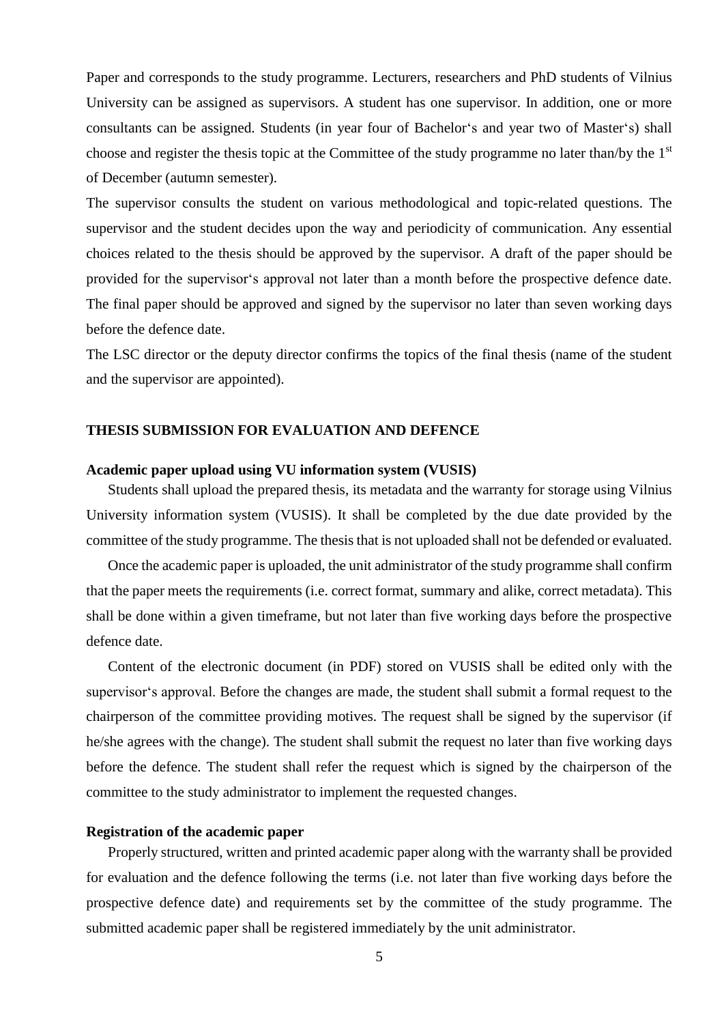Paper and corresponds to the study programme. Lecturers, researchers and PhD students of Vilnius University can be assigned as supervisors. A student has one supervisor. In addition, one or more consultants can be assigned. Students (in year four of Bachelor's and year two of Master's) shall choose and register the thesis topic at the Committee of the study programme no later than/by the 1<sup>st</sup> of December (autumn semester).

The supervisor consults the student on various methodological and topic-related questions. The supervisor and the student decides upon the way and periodicity of communication. Any essential choices related to the thesis should be approved by the supervisor. A draft of the paper should be provided for the supervisor's approval not later than a month before the prospective defence date. The final paper should be approved and signed by the supervisor no later than seven working days before the defence date.

The LSC director or the deputy director confirms the topics of the final thesis (name of the student and the supervisor are appointed).

#### <span id="page-4-0"></span>**THESIS SUBMISSION FOR EVALUATION AND DEFENCE**

#### <span id="page-4-1"></span>**Academic paper upload using VU information system (VUSIS)**

Students shall upload the prepared thesis, its metadata and the warranty for storage using Vilnius University information system (VUSIS). It shall be completed by the due date provided by the committee of the study programme. The thesis that is not uploaded shall not be defended or evaluated.

Once the academic paper is uploaded, the unit administrator of the study programme shall confirm that the paper meets the requirements (i.e. correct format, summary and alike, correct metadata). This shall be done within a given timeframe, but not later than five working days before the prospective defence date.

Content of the electronic document (in PDF) stored on VUSIS shall be edited only with the supervisor's approval. Before the changes are made, the student shall submit a formal request to the chairperson of the committee providing motives. The request shall be signed by the supervisor (if he/she agrees with the change). The student shall submit the request no later than five working days before the defence. The student shall refer the request which is signed by the chairperson of the committee to the study administrator to implement the requested changes.

# <span id="page-4-2"></span>**Registration of the academic paper**

Properly structured, written and printed academic paper along with the warranty shall be provided for evaluation and the defence following the terms (i.e. not later than five working days before the prospective defence date) and requirements set by the committee of the study programme. The submitted academic paper shall be registered immediately by the unit administrator.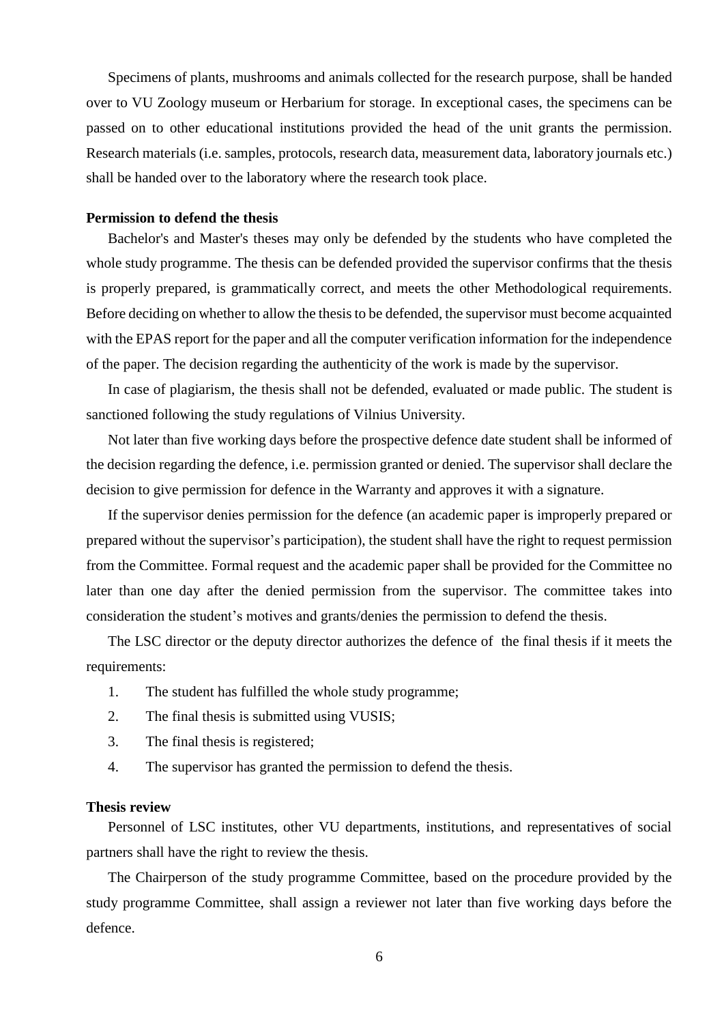Specimens of plants, mushrooms and animals collected for the research purpose, shall be handed over to VU Zoology museum or Herbarium for storage. In exceptional cases, the specimens can be passed on to other educational institutions provided the head of the unit grants the permission. Research materials (i.e. samples, protocols, research data, measurement data, laboratory journals etc.) shall be handed over to the laboratory where the research took place.

#### <span id="page-5-0"></span>**Permission to defend the thesis**

Bachelor's and Master's theses may only be defended by the students who have completed the whole study programme. The thesis can be defended provided the supervisor confirms that the thesis is properly prepared, is grammatically correct, and meets the other Methodological requirements. Before deciding on whether to allow the thesis to be defended, the supervisor must become acquainted with the EPAS report for the paper and all the computer verification information for the independence of the paper. The decision regarding the authenticity of the work is made by the supervisor.

In case of plagiarism, the thesis shall not be defended, evaluated or made public. The student is sanctioned following the study regulations of Vilnius University.

Not later than five working days before the prospective defence date student shall be informed of the decision regarding the defence, i.e. permission granted or denied. The supervisor shall declare the decision to give permission for defence in the Warranty and approves it with a signature.

If the supervisor denies permission for the defence (an academic paper is improperly prepared or prepared without the supervisor's participation), the student shall have the right to request permission from the Committee. Formal request and the academic paper shall be provided for the Committee no later than one day after the denied permission from the supervisor. The committee takes into consideration the student's motives and grants/denies the permission to defend the thesis.

The LSC director or the deputy director authorizes the defence of the final thesis if it meets the requirements:

- 1. The student has fulfilled the whole study programme;
- 2. The final thesis is submitted using VUSIS;
- 3. The final thesis is registered;
- 4. The supervisor has granted the permission to defend the thesis.

#### <span id="page-5-1"></span>**Thesis review**

Personnel of LSC institutes, other VU departments, institutions, and representatives of social partners shall have the right to review the thesis.

The Chairperson of the study programme Committee, based on the procedure provided by the study programme Committee, shall assign a reviewer not later than five working days before the defence.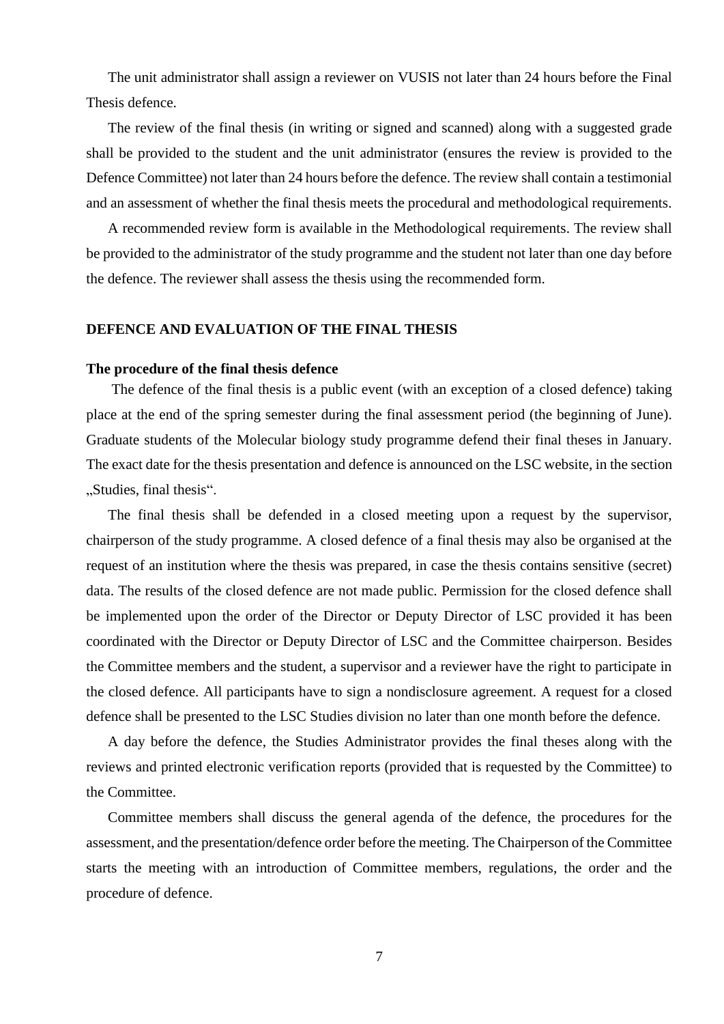The unit administrator shall assign a reviewer on VUSIS not later than 24 hours before the Final Thesis defence.

The review of the final thesis (in writing or signed and scanned) along with a suggested grade shall be provided to the student and the unit administrator (ensures the review is provided to the Defence Committee) not later than 24 hours before the defence. The review shall contain a testimonial and an assessment of whether the final thesis meets the procedural and methodological requirements.

A recommended review form is available in the Methodological requirements. The review shall be provided to the administrator of the study programme and the student not later than one day before the defence. The reviewer shall assess the thesis using the recommended form.

# <span id="page-6-0"></span>**DEFENCE AND EVALUATION OF THE FINAL THESIS**

#### <span id="page-6-1"></span>**The procedure of the final thesis defence**

The defence of the final thesis is a public event (with an exception of a closed defence) taking place at the end of the spring semester during the final assessment period (the beginning of June). Graduate students of the Molecular biology study programme defend their final theses in January. The exact date for the thesis presentation and defence is announced on the LSC website, in the section "Studies, final thesis".

The final thesis shall be defended in a closed meeting upon a request by the supervisor, chairperson of the study programme. A closed defence of a final thesis may also be organised at the request of an institution where the thesis was prepared, in case the thesis contains sensitive (secret) data. The results of the closed defence are not made public. Permission for the closed defence shall be implemented upon the order of the Director or Deputy Director of LSC provided it has been coordinated with the Director or Deputy Director of LSC and the Committee chairperson. Besides the Committee members and the student, a supervisor and a reviewer have the right to participate in the closed defence. All participants have to sign a nondisclosure agreement. A request for a closed defence shall be presented to the LSC Studies division no later than one month before the defence.

A day before the defence, the Studies Administrator provides the final theses along with the reviews and printed electronic verification reports (provided that is requested by the Committee) to the Committee.

Committee members shall discuss the general agenda of the defence, the procedures for the assessment, and the presentation/defence order before the meeting. The Chairperson of the Committee starts the meeting with an introduction of Committee members, regulations, the order and the procedure of defence.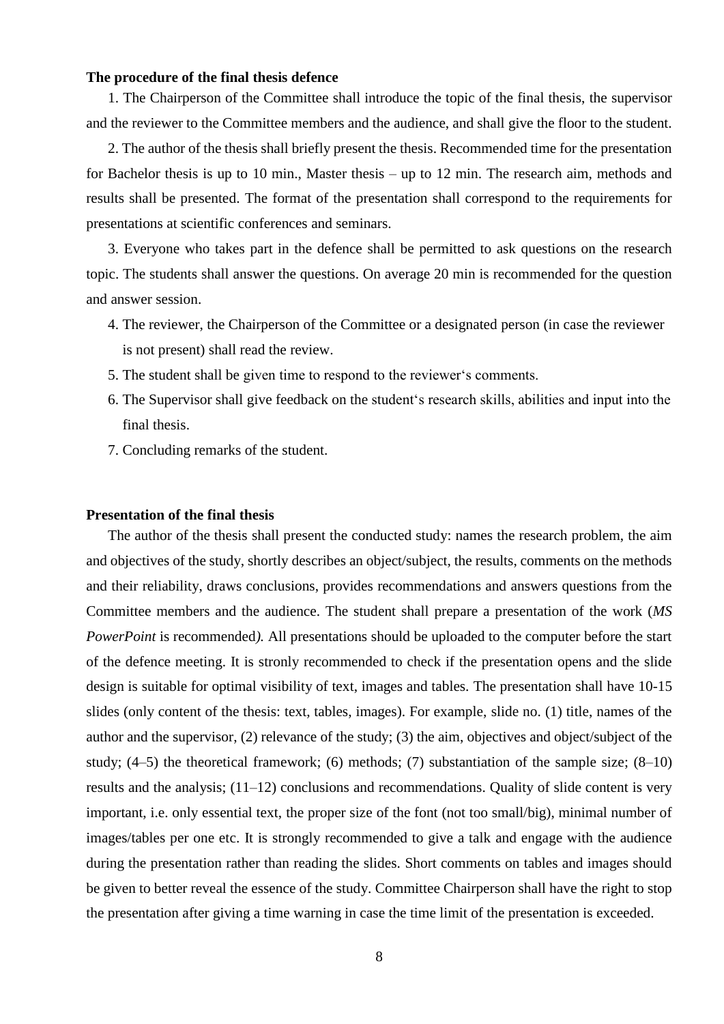# <span id="page-7-0"></span>**The procedure of the final thesis defence**

1. The Chairperson of the Committee shall introduce the topic of the final thesis, the supervisor and the reviewer to the Committee members and the audience, and shall give the floor to the student.

2. The author of the thesis shall briefly present the thesis. Recommended time for the presentation for Bachelor thesis is up to 10 min., Master thesis – up to 12 min. The research aim, methods and results shall be presented. The format of the presentation shall correspond to the requirements for presentations at scientific conferences and seminars.

3. Everyone who takes part in the defence shall be permitted to ask questions on the research topic. The students shall answer the questions. On average 20 min is recommended for the question and answer session.

- 4. The reviewer, the Chairperson of the Committee or a designated person (in case the reviewer is not present) shall read the review.
- 5. The student shall be given time to respond to the reviewer's comments.
- 6. The Supervisor shall give feedback on the student's research skills, abilities and input into the final thesis.
- 7. Concluding remarks of the student.

## <span id="page-7-1"></span>**Presentation of the final thesis**

The author of the thesis shall present the conducted study: names the research problem, the aim and objectives of the study, shortly describes an object/subject, the results, comments on the methods and their reliability, draws conclusions, provides recommendations and answers questions from the Committee members and the audience. The student shall prepare a presentation of the work (*MS PowerPoint* is recommended*).* All presentations should be uploaded to the computer before the start of the defence meeting. It is stronly recommended to check if the presentation opens and the slide design is suitable for optimal visibility of text, images and tables. The presentation shall have 10-15 slides (only content of the thesis: text, tables, images). For example, slide no. (1) title, names of the author and the supervisor, (2) relevance of the study; (3) the aim, objectives and object/subject of the study; (4–5) the theoretical framework; (6) methods; (7) substantiation of the sample size; (8–10) results and the analysis; (11–12) conclusions and recommendations. Quality of slide content is very important, i.e. only essential text, the proper size of the font (not too small/big), minimal number of images/tables per one etc. It is strongly recommended to give a talk and engage with the audience during the presentation rather than reading the slides. Short comments on tables and images should be given to better reveal the essence of the study. Committee Chairperson shall have the right to stop the presentation after giving a time warning in case the time limit of the presentation is exceeded.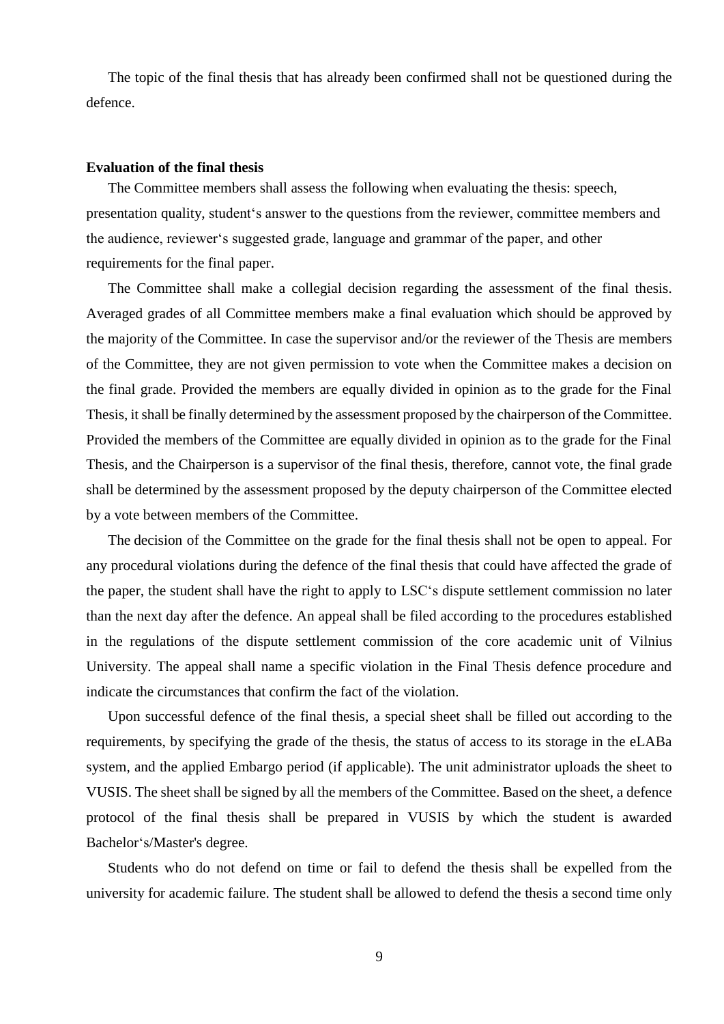The topic of the final thesis that has already been confirmed shall not be questioned during the defence.

#### <span id="page-8-0"></span>**Evaluation of the final thesis**

The Committee members shall assess the following when evaluating the thesis: speech, presentation quality, student's answer to the questions from the reviewer, committee members and the audience, reviewer's suggested grade, language and grammar of the paper, and other requirements for the final paper.

The Committee shall make a collegial decision regarding the assessment of the final thesis. Averaged grades of all Committee members make a final evaluation which should be approved by the majority of the Committee. In case the supervisor and/or the reviewer of the Thesis are members of the Committee, they are not given permission to vote when the Committee makes a decision on the final grade. Provided the members are equally divided in opinion as to the grade for the Final Thesis, it shall be finally determined by the assessment proposed by the chairperson of the Committee. Provided the members of the Committee are equally divided in opinion as to the grade for the Final Thesis, and the Chairperson is a supervisor of the final thesis, therefore, cannot vote, the final grade shall be determined by the assessment proposed by the deputy chairperson of the Committee elected by a vote between members of the Committee.

The decision of the Committee on the grade for the final thesis shall not be open to appeal. For any procedural violations during the defence of the final thesis that could have affected the grade of the paper, the student shall have the right to apply to LSC's dispute settlement commission no later than the next day after the defence. An appeal shall be filed according to the procedures established in the regulations of the dispute settlement commission of the core academic unit of Vilnius University. The appeal shall name a specific violation in the Final Thesis defence procedure and indicate the circumstances that confirm the fact of the violation.

Upon successful defence of the final thesis, a special sheet shall be filled out according to the requirements, by specifying the grade of the thesis, the status of access to its storage in the eLABa system, and the applied Embargo period (if applicable). The unit administrator uploads the sheet to VUSIS. The sheet shall be signed by all the members of the Committee. Based on the sheet, a defence protocol of the final thesis shall be prepared in VUSIS by which the student is awarded Bachelor's/Master's degree.

Students who do not defend on time or fail to defend the thesis shall be expelled from the university for academic failure. The student shall be allowed to defend the thesis a second time only